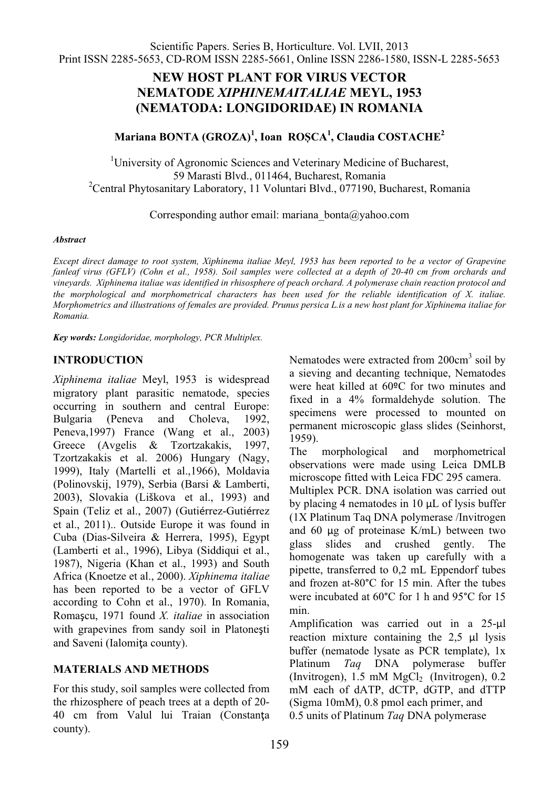## **NEW HOST PLANT FOR VIRUS VECTOR NEMATODE** *XIPHINEMAITALIAE* **MEYL, 1953 (NEMATODA: LONGIDORIDAE) IN ROMANIA**

# **Mariana BONTA (GROZA)1 , Ioan RO܇CA<sup>1</sup> , Claudia COSTACHE<sup>2</sup>**

<sup>1</sup>University of Agronomic Sciences and Veterinary Medicine of Bucharest, <sup>59</sup> Marasti Blvd., 011464, Bucharest, Romania <sup>2</sup> Central Phytosanitary Laboratory, 11 Voluntari Blvd., 077190, Bucharest, Romania

Corresponding author email: mariana\_bonta@yahoo.com

### *Abstract*

*Except direct damage to root system, Xiphinema italiae Meyl, 1953 has been reported to be a vector of Grapevine fanleaf virus (GFLV) (Cohn et al., 1958). Soil samples were collected at a depth of 20-40 cm from orchards and vineyards. Xiphinema italiae was identified in rhisosphere of peach orchard. A polymerase chain reaction protocol and the morphological and morphometrical characters has been used for the reliable identification of X. italiae. Morphometrics and illustrations of females are provided. Prunus persica L.is a new host plant for Xiphinema italiae for Romania.*

*Key words: Longidoridae, morphology, PCR Multiplex.*

## **INTRODUCTION**

*Xiphinema italiae* Meyl, 1953 is widespread migratory plant parasitic nematode, species occurring in southern and central Europe: Bulgaria (Peneva and Choleva, 1992, Peneva,1997) France (Wang et al., 2003) Greece (Avgelis & Tzortzakakis, 1997, Tzortzakakis et al. 2006) Hungary (Nagy, 1999), Italy (Martelli et al.,1966), Moldavia (Polinovskij, 1979), Serbia (Barsi & Lamberti, 2003), Slovakia (Liškova et al., 1993) and Spain (Teliz et al., 2007) (Gutiérrez-Gutiérrez et al., 2011).. Outside Europe it was found in Cuba (Dias-Silveira & Herrera, 1995), Egypt (Lamberti et al., 1996), Libya (Siddiqui et al., 1987), Nigeria (Khan et al., 1993) and South Africa (Knoetze et al., 2000). *Xiphinema italiae* has been reported to be a vector of GFLV according to Cohn et al., 1970). In Romania, RomaƔcu, 1971 found *X. italiae* in association with grapevines from sandy soil in Platonești and Saveni (Ialomita county).

## **MATERIALS AND METHODS**

For this study, soil samples were collected from the rhizosphere of peach trees at a depth of 20- 40 cm from Valul lui Traian (Constanța county).

Nematodes were extracted from  $200 \text{cm}^3$  soil by a sieving and decanting technique, Nematodes were heat killed at 60ºC for two minutes and fixed in a 4% formaldehyde solution. The specimens were processed to mounted on permanent microscopic glass slides (Seinhorst, 1959).

The morphological and morphometrical observations were made using Leica DMLB microscope fitted with Leica FDC 295 camera. Multiplex PCR. DNA isolation was carried out by placing 4 nematodes in 10 μL of lysis buffer (1X Platinum Taq DNA polymerase /Invitrogen and 60 μg of proteinase K/mL) between two glass slides and crushed gently. The homogenate was taken up carefully with a pipette, transferred to 0,2 mL Eppendorf tubes and frozen at-80°C for 15 min. After the tubes were incubated at 60°C for 1 h and 95°C for 15 min.

Amplification was carried out in a 25-μl reaction mixture containing the 2,5 μl lysis buffer (nematode lysate as PCR template), 1x Platinum *Taq* DNA polymerase buffer (Invitrogen),  $1.5 \text{ mM } MgCl<sub>2</sub>$  (Invitrogen),  $0.2$ mM each of dATP, dCTP, dGTP, and dTTP (Sigma 10mM), 0.8 pmol each primer, and 0.5 units of Platinum *Taq* DNA polymerase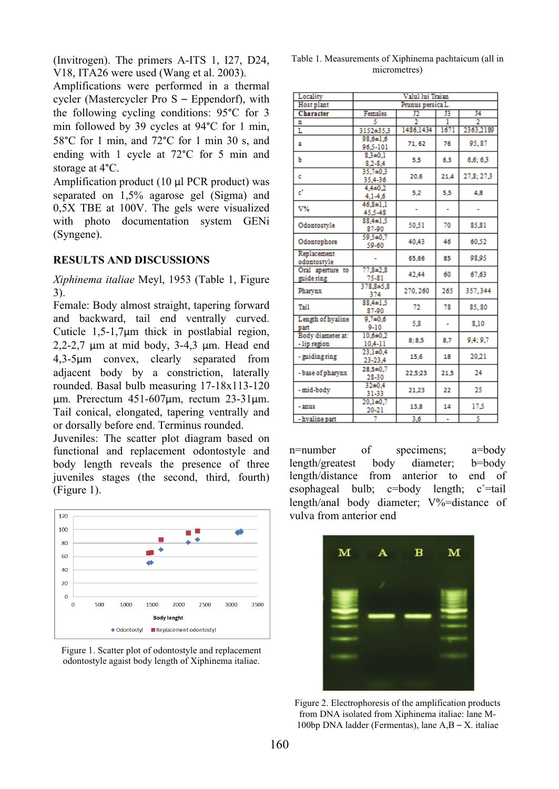(Invitrogen). The primers A-ITS 1, I27, D24, V18, ITA26 were used (Wang et al. 2003).

Amplifications were performed in a thermal cycler (Mastercycler Pro S – Eppendorf), with the following cycling conditions: 95°C for 3 min followed by 39 cycles at 94°C for 1 min, 58°C for 1 min, and 72°C for 1 min 30 s, and ending with 1 cycle at 72°C for 5 min and storage at 4°C.

Amplification product (10 μl PCR product) was separated on 1,5% agarose gel (Sigma) and 0,5X TBE at 100V. The gels were visualized with photo documentation system GENi (Syngene).

### **RESULTS AND DISCUSSIONS**

*Xiphinema italiae* Meyl, 1953 (Table 1, Figure 3).

Female: Body almost straight, tapering forward and backward, tail end ventrally curved. Cuticle 1,5-1,7μm thick in postlabial region, 2,2-2,7 μm at mid body, 3-4,3 μm. Head end 4,3-5μm convex, clearly separated from adjacent body by a constriction, laterally rounded. Basal bulb measuring 17-18x113-120 μm. Prerectum 451-607μm, rectum 23-31μm. Tail conical, elongated, tapering ventrally and or dorsally before end. Terminus rounded.

Juveniles: The scatter plot diagram based on functional and replacement odontostyle and body length reveals the presence of three juveniles stages (the second, third, fourth) (Figure 1).



Figure 1. Scatter plot of odontostyle and replacement odontostyle agaist body length of Xiphinema italiae.

| Table 1. Measurements of Xiphinema pachtaicum (all in |  |
|-------------------------------------------------------|--|
| micrometres)                                          |  |

| Locality                          | Valul lui Traian            |           |      |            |
|-----------------------------------|-----------------------------|-----------|------|------------|
| Host plant                        | Prunus persica L.           |           |      |            |
| Character                         | Females                     | J)        | J3   | J4         |
| n                                 |                             | 7         | 1    |            |
| L                                 | 3152±35.3                   | 1486,1434 | 1671 | 2363,2189  |
| a                                 | $98.6 \pm 1.6$<br>96.5-101  | 71.62     | 76   | 95.87      |
| Ъ                                 | $8.3 + 0.1$<br>$8.2 - 8.4$  | 5,5       | 6,3  | 6.6:6.3    |
| c                                 | 35,7±0.3<br>35,4-36         | 20.6      | 21.4 | 27,8; 27,3 |
| ď                                 | $4.4 + 0.2$<br>$4.1 - 4.6$  | 5,2       | 5.5  | 4,8        |
| V%                                | $46.8 \pm 1.1$<br>45.5-48   |           | ÷    |            |
| Odontostyle                       | $88.4 \pm 1.5$<br>87-90     | 50.51     | 70   | 85.81      |
| Odontophore                       | 59,5±0.7<br>59-60           | 40.43     | 46   | 60.52      |
| Replacement<br>odontostvle        |                             | 65,66     | 85   | 98.95      |
| Oral aperture to<br>guide ring    | $77.8 + 2.8$<br>$75 - 81$   | 42,44     | 60   | 67,63      |
| Pharvnx                           | $378.8 + 5.8$<br>374        | 270, 260  | 265  | 357.344    |
| Tail                              | $88.4 \pm 1.5$<br>87-90     | 72        | 78   | 85.80      |
| Length of hvaline<br>part         | $9.7 + 0.6$<br>$9 - 10$     | 5.8       | ÷    | 8.10       |
| Body diameter at:<br>- lip region | $10.6 + 0.2$<br>$10,4 - 11$ | 8:8.5     | 8.7  | 9.4:9.7    |
| - guiding ring                    | $23.1 + 0.4$<br>23-23,4     | 15.6      | 18   | 20,21      |
| - base of pharynx                 | $28.5 \pm 0.7$<br>28-30     | 22,5:23   | 21.5 | 24         |
| - mid-body                        | $32 + 0.4$<br>31-33         | 21.23     | 22   | 25         |
| - anus                            | $20.1 + 0.7$<br>20-21       | 13,8      | 14   | 17,5       |
| - hyaline part                    | 7                           | 3,6       | ä,   | 5          |

n=number of specimens; a=body length/greatest body diameter; b=body length/distance from anterior to end of esophageal bulb; c=body length; c´=tail length/anal body diameter; V%=distance of vulva from anterior end



Figure 2. Electrophoresis of the amplification products from DNA isolated from Xiphinema italiae: lane M-100bp DNA ladder (Fermentas), lane A,B – X. italiae